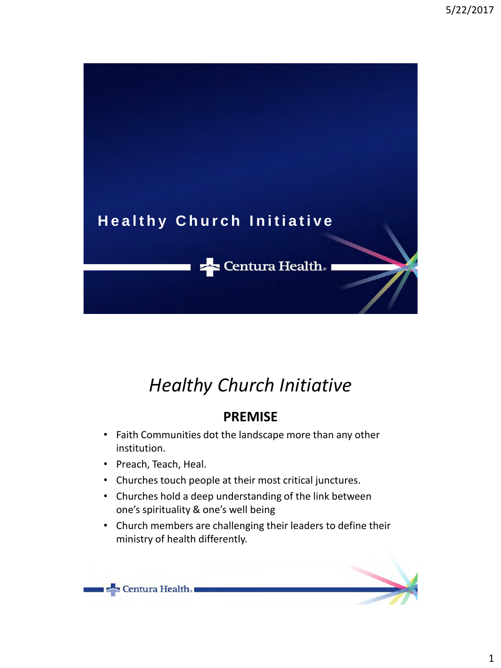

### **PREMISE**

- Faith Communities dot the landscape more than any other institution.
- Preach, Teach, Heal.
- Churches touch people at their most critical junctures.
- Churches hold a deep understanding of the link between one's spirituality & one's well being
- Church members are challenging their leaders to define their ministry of health differently.

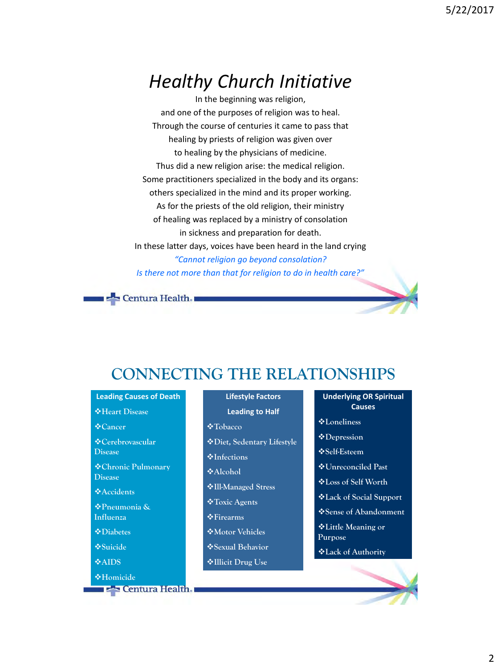In the beginning was religion, and one of the purposes of religion was to heal. Through the course of centuries it came to pass that healing by priests of religion was given over to healing by the physicians of medicine. Thus did a new religion arise: the medical religion. Some practitioners specialized in the body and its organs: others specialized in the mind and its proper working. As for the priests of the old religion, their ministry of healing was replaced by a ministry of consolation in sickness and preparation for death. In these latter days, voices have been heard in the land crying *"Cannot religion go beyond consolation? Is there not more than that for religion to do in health care?"*



### **CONNECTING THE RELATIONSHIPS**

**Leading Causes of Death**

**Heart Disease**

**Cancer**

**Cerebrovascular Disease**

**Chronic Pulmonary Disease**

**Accidents**

**Pneumonia & Influenza**

**Diabetes**

**Suicide**

**AIDS**

**Homicide External Health.**  **Lifestyle Factors**

**Leading to Half** 

- **Tobacco**
- **Diet, Sedentary Lifestyle**
- **Infections**
- **Alcohol**
- **Ill-Managed Stress**
- **Toxic Agents**
- **Firearms**
- **Motor Vehicles**
- **Sexual Behavior**
- **Illicit Drug Use**

**Underlying OR Spiritual Causes** 

- **Loneliness**
- **Depression**
- **Self-Esteem**
- **Unreconciled Past**
- **Loss of Self Worth**
- **Lack of Social Support**
- **Sense of Abandonment**
- **Little Meaning or Purpose**
- **Lack of Authority**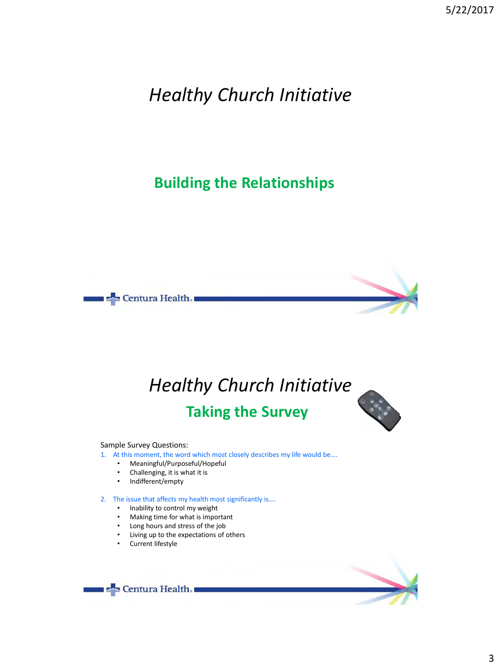### **Building the Relationships**



## *Healthy Church Initiative* **Taking the Survey**

Sample Survey Questions:

1. At this moment, the word which most closely describes my life would be....

- Meaningful/Purposeful/Hopeful<br>• Challenging, it is what it is
- Challenging, it is what it is<br>• Indifferent/empty
- Indifferent/empty

2. The issue that affects my health most significantly is….

- Inability to control my weight
- Making time for what is important
- Long hours and stress of the job
- Living up to the expectations of others
- Current lifestyle

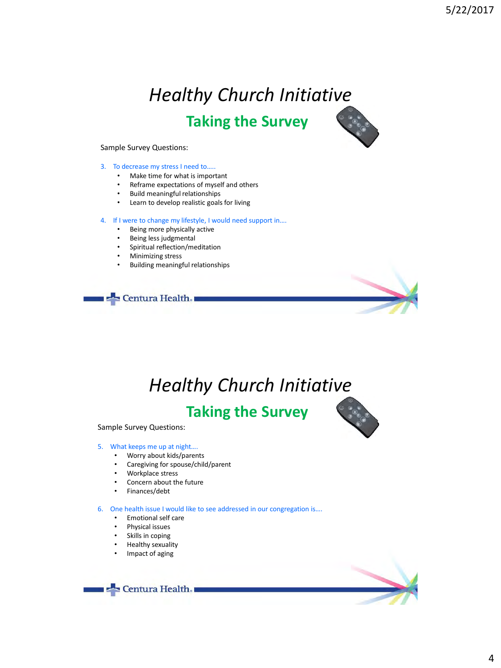# *Healthy Church Initiative* **Taking the Survey**



#### Sample Survey Questions:

#### 3. To decrease my stress I need to…..

- Make time for what is important
- Reframe expectations of myself and others
- Build meaningful relationships
- Learn to develop realistic goals for living

#### 4. If I were to change my lifestyle, I would need support in....

- Being more physically active
- Being less judgmental
- Spiritual reflection/meditation
- Minimizing stress
- Building meaningful relationships



# *Healthy Church Initiative*

### **Taking the Survey**





#### 5. What keeps me up at night….

- Worry about kids/parents
- Caregiving for spouse/child/parent
- Workplace stress
- Concern about the future
- Finances/debt

#### 6. One health issue I would like to see addressed in our congregation is….

- Emotional self care
- Physical issues
- Skills in coping
- Healthy sexuality
- Impact of aging

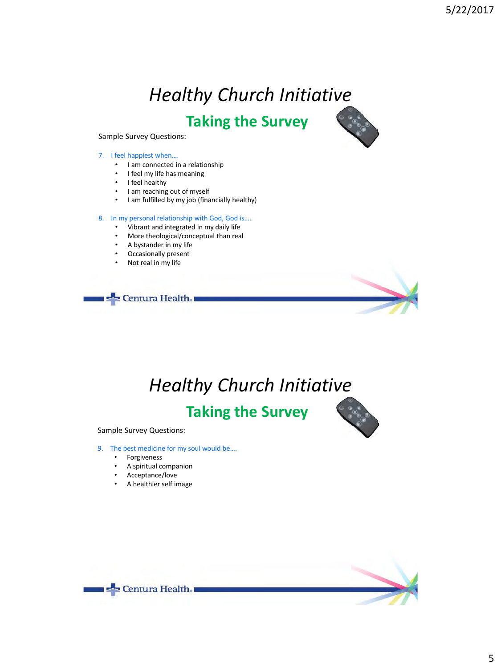**Taking the Survey**



Sample Survey Questions:

#### 7. I feel happiest when….

- I am connected in a relationship
- I feel my life has meaning
- I feel healthy
- I am reaching out of myself
- I am fulfilled by my job (financially healthy)

#### 8. In my personal relationship with God, God is....

- Vibrant and integrated in my daily life
- More theological/conceptual than real
- A bystander in my life
- Occasionally present
- Not real in my life



# *Healthy Church Initiative*

## **Taking the Survey**

Sample Survey Questions:

- 9. The best medicine for my soul would be....
	- **Forgiveness**
	- A spiritual companion
	- Acceptance/love
	- A healthier self image



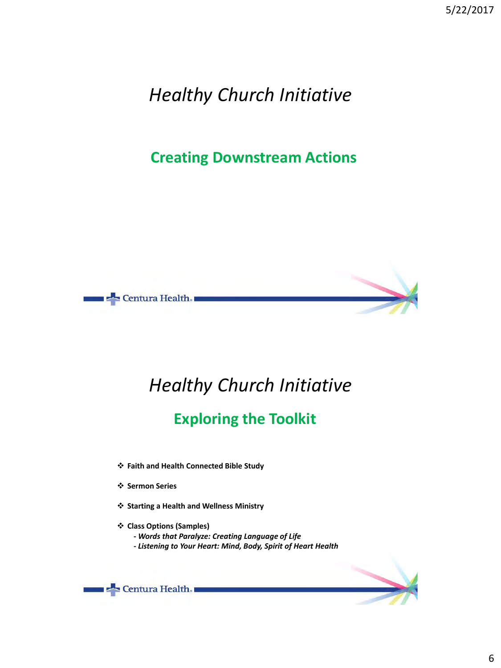### **Creating Downstream Actions**



# *Healthy Church Initiative*

### **Exploring the Toolkit**

- **Faith and Health Connected Bible Study**
- **Sermon Series**
- **Starting a Health and Wellness Ministry**
- **Class Options (Samples)**
	- **-** *Words that Paralyze: Creating Language of Life*
	- *- Listening to Your Heart: Mind, Body, Spirit of Heart Health*